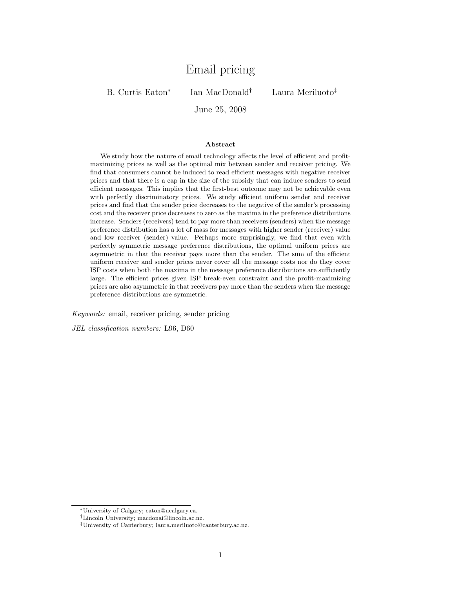# Email pricing

B. Curtis Eaton<sup>∗</sup>

Ian MacDonald† Laura Meriluoto‡

June 25, 2008

#### Abstract

We study how the nature of email technology affects the level of efficient and profitmaximizing prices as well as the optimal mix between sender and receiver pricing. We find that consumers cannot be induced to read efficient messages with negative receiver prices and that there is a cap in the size of the subsidy that can induce senders to send efficient messages. This implies that the first-best outcome may not be achievable even with perfectly discriminatory prices. We study efficient uniform sender and receiver prices and find that the sender price decreases to the negative of the sender's processing cost and the receiver price decreases to zero as the maxima in the preference distributions increase. Senders (receivers) tend to pay more than receivers (senders) when the message preference distribution has a lot of mass for messages with higher sender (receiver) value and low receiver (sender) value. Perhaps more surprisingly, we find that even with perfectly symmetric message preference distributions, the optimal uniform prices are asymmetric in that the receiver pays more than the sender. The sum of the efficient uniform receiver and sender prices never cover all the message costs nor do they cover ISP costs when both the maxima in the message preference distributions are sufficiently large. The efficient prices given ISP break-even constraint and the profit-maximizing prices are also asymmetric in that receivers pay more than the senders when the message preference distributions are symmetric.

Keywords: email, receiver pricing, sender pricing

JEL classification numbers: L96, D60

<sup>∗</sup>University of Calgary; eaton@ucalgary.ca.

<sup>†</sup>Lincoln University; macdonai@lincoln.ac.nz.

<sup>‡</sup>University of Canterbury; laura.meriluoto@canterbury.ac.nz.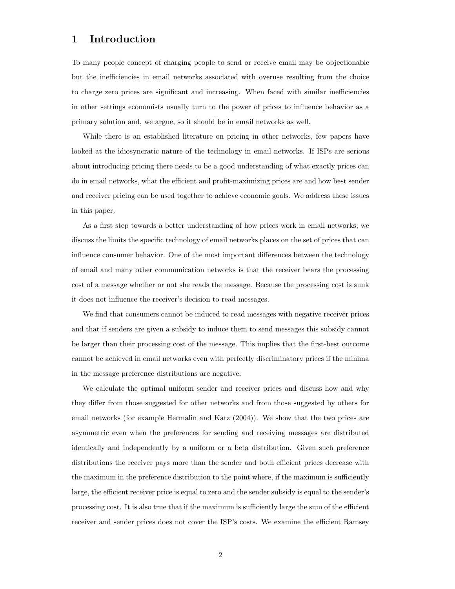### 1 Introduction

To many people concept of charging people to send or receive email may be objectionable but the inefficiencies in email networks associated with overuse resulting from the choice to charge zero prices are significant and increasing. When faced with similar inefficiencies in other settings economists usually turn to the power of prices to influence behavior as a primary solution and, we argue, so it should be in email networks as well.

While there is an established literature on pricing in other networks, few papers have looked at the idiosyncratic nature of the technology in email networks. If ISPs are serious about introducing pricing there needs to be a good understanding of what exactly prices can do in email networks, what the efficient and profit-maximizing prices are and how best sender and receiver pricing can be used together to achieve economic goals. We address these issues in this paper.

As a first step towards a better understanding of how prices work in email networks, we discuss the limits the specific technology of email networks places on the set of prices that can influence consumer behavior. One of the most important differences between the technology of email and many other communication networks is that the receiver bears the processing cost of a message whether or not she reads the message. Because the processing cost is sunk it does not influence the receiver's decision to read messages.

We find that consumers cannot be induced to read messages with negative receiver prices and that if senders are given a subsidy to induce them to send messages this subsidy cannot be larger than their processing cost of the message. This implies that the first-best outcome cannot be achieved in email networks even with perfectly discriminatory prices if the minima in the message preference distributions are negative.

We calculate the optimal uniform sender and receiver prices and discuss how and why they differ from those suggested for other networks and from those suggested by others for email networks (for example Hermalin and Katz (2004)). We show that the two prices are asymmetric even when the preferences for sending and receiving messages are distributed identically and independently by a uniform or a beta distribution. Given such preference distributions the receiver pays more than the sender and both efficient prices decrease with the maximum in the preference distribution to the point where, if the maximum is sufficiently large, the efficient receiver price is equal to zero and the sender subsidy is equal to the sender's processing cost. It is also true that if the maximum is sufficiently large the sum of the efficient receiver and sender prices does not cover the ISP's costs. We examine the efficient Ramsey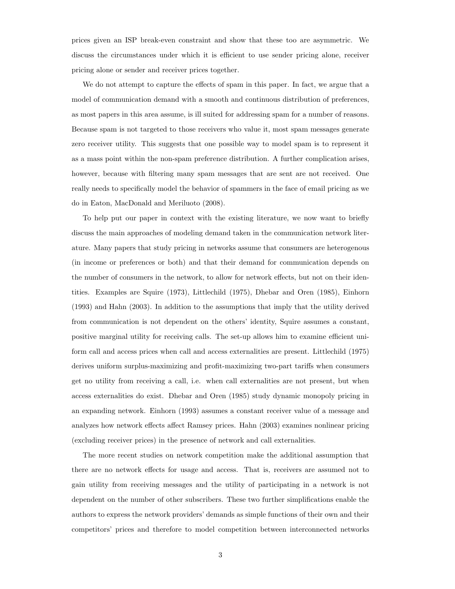prices given an ISP break-even constraint and show that these too are asymmetric. We discuss the circumstances under which it is efficient to use sender pricing alone, receiver pricing alone or sender and receiver prices together.

We do not attempt to capture the effects of spam in this paper. In fact, we argue that a model of communication demand with a smooth and continuous distribution of preferences, as most papers in this area assume, is ill suited for addressing spam for a number of reasons. Because spam is not targeted to those receivers who value it, most spam messages generate zero receiver utility. This suggests that one possible way to model spam is to represent it as a mass point within the non-spam preference distribution. A further complication arises, however, because with filtering many spam messages that are sent are not received. One really needs to specifically model the behavior of spammers in the face of email pricing as we do in Eaton, MacDonald and Meriluoto (2008).

To help put our paper in context with the existing literature, we now want to briefly discuss the main approaches of modeling demand taken in the communication network literature. Many papers that study pricing in networks assume that consumers are heterogenous (in income or preferences or both) and that their demand for communication depends on the number of consumers in the network, to allow for network effects, but not on their identities. Examples are Squire (1973), Littlechild (1975), Dhebar and Oren (1985), Einhorn (1993) and Hahn (2003). In addition to the assumptions that imply that the utility derived from communication is not dependent on the others' identity, Squire assumes a constant, positive marginal utility for receiving calls. The set-up allows him to examine efficient uniform call and access prices when call and access externalities are present. Littlechild (1975) derives uniform surplus-maximizing and profit-maximizing two-part tariffs when consumers get no utility from receiving a call, i.e. when call externalities are not present, but when access externalities do exist. Dhebar and Oren (1985) study dynamic monopoly pricing in an expanding network. Einhorn (1993) assumes a constant receiver value of a message and analyzes how network effects affect Ramsey prices. Hahn (2003) examines nonlinear pricing (excluding receiver prices) in the presence of network and call externalities.

The more recent studies on network competition make the additional assumption that there are no network effects for usage and access. That is, receivers are assumed not to gain utility from receiving messages and the utility of participating in a network is not dependent on the number of other subscribers. These two further simplifications enable the authors to express the network providers' demands as simple functions of their own and their competitors' prices and therefore to model competition between interconnected networks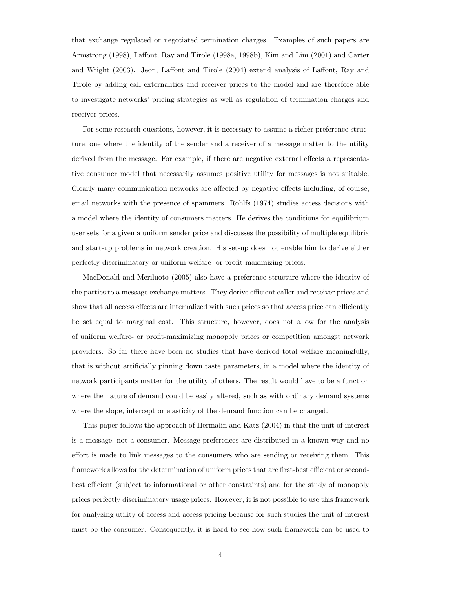that exchange regulated or negotiated termination charges. Examples of such papers are Armstrong (1998), Laffont, Ray and Tirole (1998a, 1998b), Kim and Lim (2001) and Carter and Wright (2003). Jeon, Laffont and Tirole (2004) extend analysis of Laffont, Ray and Tirole by adding call externalities and receiver prices to the model and are therefore able to investigate networks' pricing strategies as well as regulation of termination charges and receiver prices.

For some research questions, however, it is necessary to assume a richer preference structure, one where the identity of the sender and a receiver of a message matter to the utility derived from the message. For example, if there are negative external effects a representative consumer model that necessarily assumes positive utility for messages is not suitable. Clearly many communication networks are affected by negative effects including, of course, email networks with the presence of spammers. Rohlfs (1974) studies access decisions with a model where the identity of consumers matters. He derives the conditions for equilibrium user sets for a given a uniform sender price and discusses the possibility of multiple equilibria and start-up problems in network creation. His set-up does not enable him to derive either perfectly discriminatory or uniform welfare- or profit-maximizing prices.

MacDonald and Meriluoto (2005) also have a preference structure where the identity of the parties to a message exchange matters. They derive efficient caller and receiver prices and show that all access effects are internalized with such prices so that access price can efficiently be set equal to marginal cost. This structure, however, does not allow for the analysis of uniform welfare- or profit-maximizing monopoly prices or competition amongst network providers. So far there have been no studies that have derived total welfare meaningfully, that is without artificially pinning down taste parameters, in a model where the identity of network participants matter for the utility of others. The result would have to be a function where the nature of demand could be easily altered, such as with ordinary demand systems where the slope, intercept or elasticity of the demand function can be changed.

This paper follows the approach of Hermalin and Katz (2004) in that the unit of interest is a message, not a consumer. Message preferences are distributed in a known way and no effort is made to link messages to the consumers who are sending or receiving them. This framework allows for the determination of uniform prices that are first-best efficient or secondbest efficient (subject to informational or other constraints) and for the study of monopoly prices perfectly discriminatory usage prices. However, it is not possible to use this framework for analyzing utility of access and access pricing because for such studies the unit of interest must be the consumer. Consequently, it is hard to see how such framework can be used to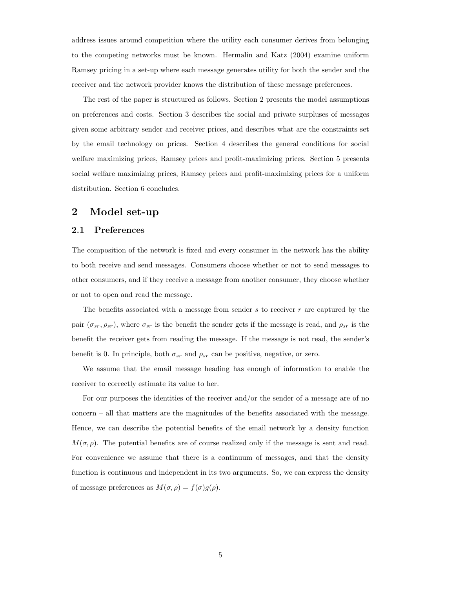address issues around competition where the utility each consumer derives from belonging to the competing networks must be known. Hermalin and Katz (2004) examine uniform Ramsey pricing in a set-up where each message generates utility for both the sender and the receiver and the network provider knows the distribution of these message preferences.

The rest of the paper is structured as follows. Section 2 presents the model assumptions on preferences and costs. Section 3 describes the social and private surpluses of messages given some arbitrary sender and receiver prices, and describes what are the constraints set by the email technology on prices. Section 4 describes the general conditions for social welfare maximizing prices, Ramsey prices and profit-maximizing prices. Section 5 presents social welfare maximizing prices, Ramsey prices and profit-maximizing prices for a uniform distribution. Section 6 concludes.

# 2 Model set-up

#### 2.1 Preferences

The composition of the network is fixed and every consumer in the network has the ability to both receive and send messages. Consumers choose whether or not to send messages to other consumers, and if they receive a message from another consumer, they choose whether or not to open and read the message.

The benefits associated with a message from sender  $s$  to receiver  $r$  are captured by the pair  $(\sigma_{sr}, \rho_{sr})$ , where  $\sigma_{sr}$  is the benefit the sender gets if the message is read, and  $\rho_{sr}$  is the benefit the receiver gets from reading the message. If the message is not read, the sender's benefit is 0. In principle, both  $\sigma_{sr}$  and  $\rho_{sr}$  can be positive, negative, or zero.

We assume that the email message heading has enough of information to enable the receiver to correctly estimate its value to her.

For our purposes the identities of the receiver and/or the sender of a message are of no concern – all that matters are the magnitudes of the benefits associated with the message. Hence, we can describe the potential benefits of the email network by a density function  $M(\sigma, \rho)$ . The potential benefits are of course realized only if the message is sent and read. For convenience we assume that there is a continuum of messages, and that the density function is continuous and independent in its two arguments. So, we can express the density of message preferences as  $M(\sigma, \rho) = f(\sigma)g(\rho)$ .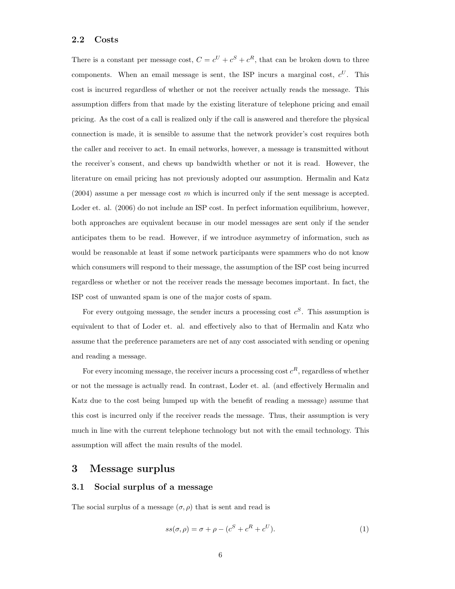#### 2.2 Costs

There is a constant per message cost,  $C = c^U + c^S + c^R$ , that can be broken down to three components. When an email message is sent, the ISP incurs a marginal cost,  $c^U$ . This cost is incurred regardless of whether or not the receiver actually reads the message. This assumption differs from that made by the existing literature of telephone pricing and email pricing. As the cost of a call is realized only if the call is answered and therefore the physical connection is made, it is sensible to assume that the network provider's cost requires both the caller and receiver to act. In email networks, however, a message is transmitted without the receiver's consent, and chews up bandwidth whether or not it is read. However, the literature on email pricing has not previously adopted our assumption. Hermalin and Katz  $(2004)$  assume a per message cost m which is incurred only if the sent message is accepted. Loder et. al. (2006) do not include an ISP cost. In perfect information equilibrium, however, both approaches are equivalent because in our model messages are sent only if the sender anticipates them to be read. However, if we introduce asymmetry of information, such as would be reasonable at least if some network participants were spammers who do not know which consumers will respond to their message, the assumption of the ISP cost being incurred regardless or whether or not the receiver reads the message becomes important. In fact, the ISP cost of unwanted spam is one of the major costs of spam.

For every outgoing message, the sender incurs a processing cost  $c^S$ . This assumption is equivalent to that of Loder et. al. and effectively also to that of Hermalin and Katz who assume that the preference parameters are net of any cost associated with sending or opening and reading a message.

For every incoming message, the receiver incurs a processing cost  $c^R$ , regardless of whether or not the message is actually read. In contrast, Loder et. al. (and effectively Hermalin and Katz due to the cost being lumped up with the benefit of reading a message) assume that this cost is incurred only if the receiver reads the message. Thus, their assumption is very much in line with the current telephone technology but not with the email technology. This assumption will affect the main results of the model.

### 3 Message surplus

### 3.1 Social surplus of a message

The social surplus of a message  $(\sigma, \rho)$  that is sent and read is

$$
ss(\sigma,\rho) = \sigma + \rho - (c^S + c^R + c^U). \tag{1}
$$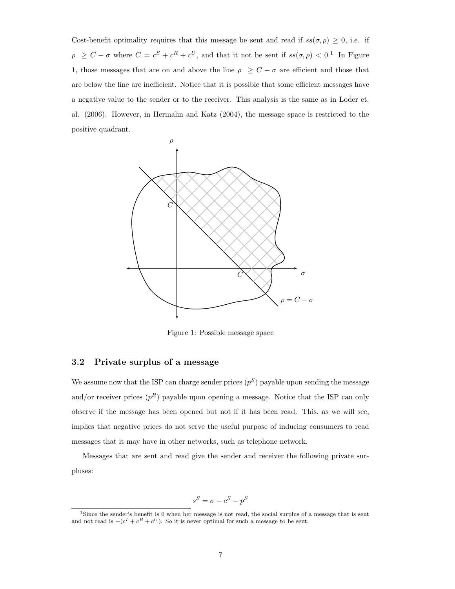Cost-benefit optimality requires that this message be sent and read if  $ss(\sigma, \rho) \geq 0$ , i.e. if  $\rho \geq C - \sigma$  where  $C = c^{S} + c^{R} + c^{U}$ , and that it not be sent if  $ss(\sigma, \rho) < 0$ .<sup>1</sup> In Figure 1, those messages that are on and above the line  $\rho \geq C - \sigma$  are efficient and those that are below the line are inefficient. Notice that it is possible that some efficient messages have a negative value to the sender or to the receiver. This analysis is the same as in Loder et. al. (2006). However, in Hermalin and Katz (2004), the message space is restricted to the positive quadrant.



Figure 1: Possible message space

### 3.2 Private surplus of a message

We assume now that the ISP can charge sender prices  $(p^S)$  payable upon sending the message and/or receiver prices  $(p^R)$  payable upon opening a message. Notice that the ISP can only observe if the message has been opened but not if it has been read. This, as we will see, implies that negative prices do not serve the useful purpose of inducing consumers to read messages that it may have in other networks, such as telephone network.

Messages that are sent and read give the sender and receiver the following private surpluses:

$$
s^S = \sigma - c^S - p^S
$$

<sup>&</sup>lt;sup>1</sup>Since the sender's benefit is 0 when her message is not read, the social surplus of a message that is sent and not read is  $-(c^I + c^R + c^U)$ . So it is never optimal for such a message to be sent.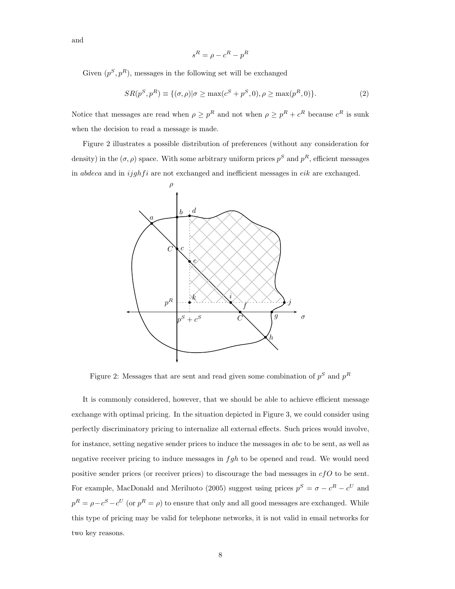and

$$
s^R = \rho - c^R - p^R
$$

Given  $(p^S, p^R)$ , messages in the following set will be exchanged

$$
SR(p^{S}, p^{R}) \equiv \{ (\sigma, \rho) | \sigma \ge \max(c^{S} + p^{S}, 0), \rho \ge \max(p^{R}, 0) \}. \tag{2}
$$

Notice that messages are read when  $\rho \geq p^R$  and not when  $\rho \geq p^R + c^R$  because  $c^R$  is sunk when the decision to read a message is made.

Figure 2 illustrates a possible distribution of preferences (without any consideration for density) in the  $(\sigma, \rho)$  space. With some arbitrary uniform prices  $p^S$  and  $p^R$ , efficient messages in  $abdeca$  and in  $ijjghfi$  are not exchanged and inefficient messages in  $eik$  are exchanged.



Figure 2: Messages that are sent and read given some combination of  $p^S$  and  $p^R$ 

It is commonly considered, however, that we should be able to achieve efficient message exchange with optimal pricing. In the situation depicted in Figure 3, we could consider using perfectly discriminatory pricing to internalize all external effects. Such prices would involve, for instance, setting negative sender prices to induce the messages in abc to be sent, as well as negative receiver pricing to induce messages in  $fgh$  to be opened and read. We would need positive sender prices (or receiver prices) to discourage the bad messages in  $cfO$  to be sent. For example, MacDonald and Meriluoto (2005) suggest using prices  $p^S = \sigma - c^R - c^U$  and  $p^R = \rho - c^S - c^U$  (or  $p^R = \rho$ ) to ensure that only and all good messages are exchanged. While this type of pricing may be valid for telephone networks, it is not valid in email networks for two key reasons.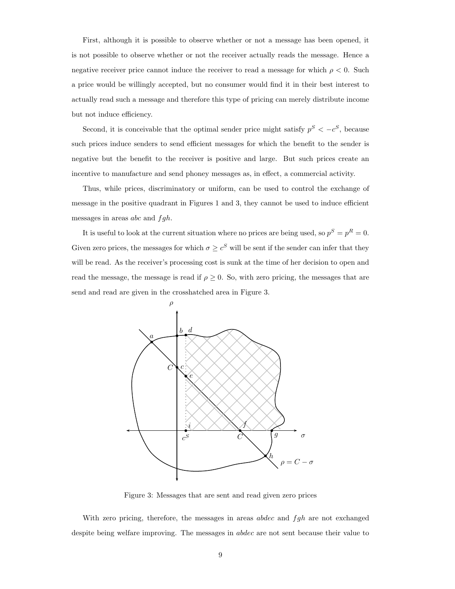First, although it is possible to observe whether or not a message has been opened, it is not possible to observe whether or not the receiver actually reads the message. Hence a negative receiver price cannot induce the receiver to read a message for which  $\rho < 0$ . Such a price would be willingly accepted, but no consumer would find it in their best interest to actually read such a message and therefore this type of pricing can merely distribute income but not induce efficiency.

Second, it is conceivable that the optimal sender price might satisfy  $p^S < -c^S$ , because such prices induce senders to send efficient messages for which the benefit to the sender is negative but the benefit to the receiver is positive and large. But such prices create an incentive to manufacture and send phoney messages as, in effect, a commercial activity.

Thus, while prices, discriminatory or uniform, can be used to control the exchange of message in the positive quadrant in Figures 1 and 3, they cannot be used to induce efficient messages in areas *abc* and  $fgh$ .

It is useful to look at the current situation where no prices are being used, so  $p^S = p^R = 0$ . Given zero prices, the messages for which  $\sigma \geq c^S$  will be sent if the sender can infer that they will be read. As the receiver's processing cost is sunk at the time of her decision to open and read the message, the message is read if  $\rho \geq 0$ . So, with zero pricing, the messages that are send and read are given in the crosshatched area in Figure 3.



Figure 3: Messages that are sent and read given zero prices

With zero pricing, therefore, the messages in areas  $abdec$  and  $fgh$  are not exchanged despite being welfare improving. The messages in abdec are not sent because their value to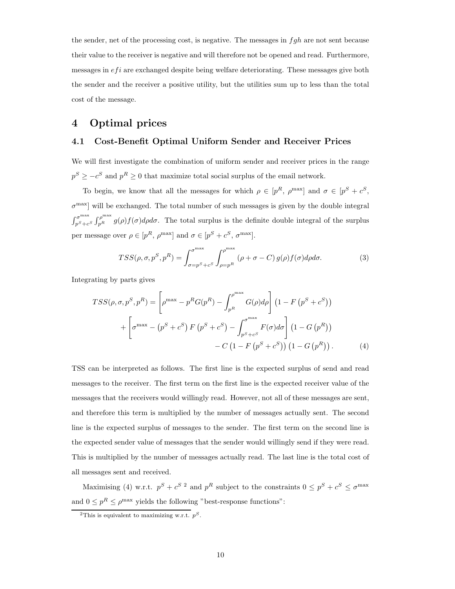the sender, net of the processing cost, is negative. The messages in  $fgh$  are not sent because their value to the receiver is negative and will therefore not be opened and read. Furthermore, messages in  $efi$  are exchanged despite being welfare deteriorating. These messages give both the sender and the receiver a positive utility, but the utilities sum up to less than the total cost of the message.

# 4 Optimal prices

### 4.1 Cost-Benefit Optimal Uniform Sender and Receiver Prices

We will first investigate the combination of uniform sender and receiver prices in the range  $p^S \geq -c^S$  and  $p^R \geq 0$  that maximize total social surplus of the email network.

To begin, we know that all the messages for which  $\rho \in [p^R, p^{\text{max}}]$  and  $\sigma \in [p^S + c^S,$  $\sigma^{\text{max}}$  will be exchanged. The total number of such messages is given by the double integral  $\int_{nS+a}^{\sigma^{\max}}$  $p_{\mathcal{S}+c\mathcal{S}}^{p_{\max}} \int_{p^R}^{\rho_{\max}} g(\rho) f(\sigma) d\rho d\sigma$ . The total surplus is the definite double integral of the surplus per message over  $\rho \in [p^R, \rho^{\text{max}}]$  and  $\sigma \in [p^S + c^S, \sigma^{\text{max}}]$ .

$$
TSS(\rho, \sigma, p^S, p^R) = \int_{\sigma = p^S + c^S}^{\sigma^{\max}} \int_{\rho = p^R}^{\rho^{\max}} (\rho + \sigma - C) g(\rho) f(\sigma) d\rho d\sigma.
$$
 (3)

Integrating by parts gives

$$
TSS(\rho, \sigma, p^S, p^R) = \left[\rho^{\max} - p^R G(p^R) - \int_{p^R}^{\rho^{\max}} G(\rho) d\rho\right] \left(1 - F\left(p^S + c^S\right)\right)
$$

$$
+ \left[\sigma^{\max} - \left(p^S + c^S\right) F\left(p^S + c^S\right) - \int_{p^S + c^S}^{\sigma^{\max}} F(\sigma) d\sigma\right] \left(1 - G\left(p^R\right)\right)
$$

$$
- C\left(1 - F\left(p^S + c^S\right)\right) \left(1 - G\left(p^R\right)\right). \tag{4}
$$

TSS can be interpreted as follows. The first line is the expected surplus of send and read messages to the receiver. The first term on the first line is the expected receiver value of the messages that the receivers would willingly read. However, not all of these messages are sent, and therefore this term is multiplied by the number of messages actually sent. The second line is the expected surplus of messages to the sender. The first term on the second line is the expected sender value of messages that the sender would willingly send if they were read. This is multiplied by the number of messages actually read. The last line is the total cost of all messages sent and received.

Maximising (4) w.r.t.  $p^S + c^{S}$  2 and  $p^R$  subject to the constraints  $0 \leq p^S + c^S \leq \sigma^{\max}$ and  $0 \leq p^R \leq \rho^{\text{max}}$  yields the following "best-response functions":

<sup>&</sup>lt;sup>2</sup>This is equivalent to maximizing w.r.t.  $p^S$ .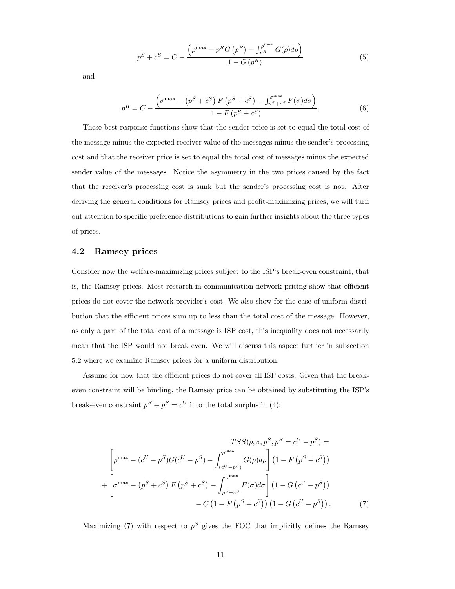$$
p^{S} + c^{S} = C - \frac{\left(\rho^{\max} - p^{R} G(p^{R}) - \int_{p^{R}}^{\rho^{\max}} G(\rho) d\rho\right)}{1 - G(p^{R})}
$$
(5)

and

$$
p^{R} = C - \frac{\left(\sigma^{\max} - \left(p^{S} + c^{S}\right)F\left(p^{S} + c^{S}\right) - \int_{p^{S} + c^{S}}^{\sigma^{\max}} F(\sigma)d\sigma\right)}{1 - F\left(p^{S} + c^{S}\right)}.
$$
\n
$$
(6)
$$

These best response functions show that the sender price is set to equal the total cost of the message minus the expected receiver value of the messages minus the sender's processing cost and that the receiver price is set to equal the total cost of messages minus the expected sender value of the messages. Notice the asymmetry in the two prices caused by the fact that the receiver's processing cost is sunk but the sender's processing cost is not. After deriving the general conditions for Ramsey prices and profit-maximizing prices, we will turn out attention to specific preference distributions to gain further insights about the three types of prices.

### 4.2 Ramsey prices

Consider now the welfare-maximizing prices subject to the ISP's break-even constraint, that is, the Ramsey prices. Most research in communication network pricing show that efficient prices do not cover the network provider's cost. We also show for the case of uniform distribution that the efficient prices sum up to less than the total cost of the message. However, as only a part of the total cost of a message is ISP cost, this inequality does not necessarily mean that the ISP would not break even. We will discuss this aspect further in subsection 5.2 where we examine Ramsey prices for a uniform distribution.

Assume for now that the efficient prices do not cover all ISP costs. Given that the breakeven constraint will be binding, the Ramsey price can be obtained by substituting the ISP's break-even constraint  $p^R + p^S = c^U$  into the total surplus in (4):

$$
TSS(\rho, \sigma, p^{S}, p^{R} = c^{U} - p^{S}) =
$$
  

$$
\left[ \rho^{\max} - (c^{U} - p^{S})G(c^{U} - p^{S}) - \int_{(c^{U} - p^{S})}^{c^{\max}} G(\rho)d\rho \right] (1 - F(p^{S} + c^{S}))
$$
  

$$
+ \left[ \sigma^{\max} - (p^{S} + c^{S}) F(p^{S} + c^{S}) - \int_{p^{S} + c^{S}}^{c^{\max}} F(\sigma)d\sigma \right] (1 - G(c^{U} - p^{S}))
$$
  

$$
- C (1 - F(p^{S} + c^{S})) (1 - G(c^{U} - p^{S})) . \tag{7}
$$

Maximizing (7) with respect to  $p^S$  gives the FOC that implicitly defines the Ramsey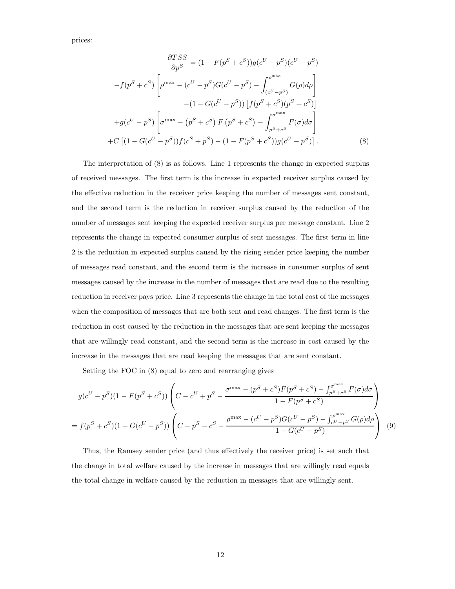prices:

$$
\frac{\partial TSS}{\partial p^{S}} = (1 - F(p^{S} + c^{S}))g(c^{U} - p^{S})(c^{U} - p^{S})
$$

$$
-f(p^{S} + c^{S}) \left[ \rho^{\max} - (c^{U} - p^{S})G(c^{U} - p^{S}) - \int_{(c^{U} - p^{S})}^{c^{max}} G(\rho)d\rho \right]
$$

$$
- (1 - G(c^{U} - p^{S})) [f(p^{S} + c^{S})(p^{S} + c^{S})]
$$

$$
+ g(c^{U} - p^{S}) \left[ \sigma^{\max} - (p^{S} + c^{S}) F(p^{S} + c^{S}) - \int_{p^{S} + c^{S}}^{c^{max}} F(\sigma)d\sigma \right]
$$

$$
+ C [(1 - G(c^{U} - p^{S}))f(c^{S} + p^{S}) - (1 - F(p^{S} + c^{S}))g(c^{U} - p^{S})]. \tag{8}
$$

The interpretation of (8) is as follows. Line 1 represents the change in expected surplus of received messages. The first term is the increase in expected receiver surplus caused by the effective reduction in the receiver price keeping the number of messages sent constant, and the second term is the reduction in receiver surplus caused by the reduction of the number of messages sent keeping the expected receiver surplus per message constant. Line 2 represents the change in expected consumer surplus of sent messages. The first term in line 2 is the reduction in expected surplus caused by the rising sender price keeping the number of messages read constant, and the second term is the increase in consumer surplus of sent messages caused by the increase in the number of messages that are read due to the resulting reduction in receiver pays price. Line 3 represents the change in the total cost of the messages when the composition of messages that are both sent and read changes. The first term is the reduction in cost caused by the reduction in the messages that are sent keeping the messages that are willingly read constant, and the second term is the increase in cost caused by the increase in the messages that are read keeping the messages that are sent constant.

Setting the FOC in (8) equal to zero and rearranging gives

$$
g(c^{U} - p^{S})(1 - F(p^{S} + c^{S})) \left( C - c^{U} + p^{S} - \frac{\sigma^{\max} - (p^{S} + c^{S})F(p^{S} + c^{S}) - \int_{p^{S} + c^{S}}^{\sigma^{\max}} F(\sigma) d\sigma}{1 - F(p^{S} + c^{S})} \right)
$$
  
=  $f(p^{S} + c^{S})(1 - G(c^{U} - p^{S})) \left( C - p^{S} - c^{S} - \frac{\rho^{\max} - (c^{U} - p^{S})G(c^{U} - p^{S}) - \int_{c^{U} - p^{S}}^{\rho^{\max}} G(\rho) d\rho}{1 - G(c^{U} - p^{S})} \right)$ (9)

Thus, the Ramsey sender price (and thus effectively the receiver price) is set such that the change in total welfare caused by the increase in messages that are willingly read equals the total change in welfare caused by the reduction in messages that are willingly sent.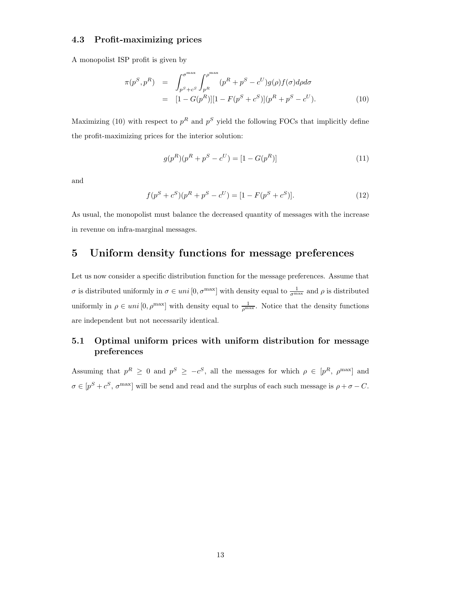### 4.3 Profit-maximizing prices

A monopolist ISP profit is given by

$$
\pi(p^S, p^R) = \int_{p^S + c^S}^{\sigma^{\max}} \int_{p^R}^{\rho^{\max}} (p^R + p^S - c^U) g(\rho) f(\sigma) d\rho d\sigma \n= [1 - G(p^R)][1 - F(p^S + c^S)](p^R + p^S - c^U).
$$
\n(10)

Maximizing (10) with respect to  $p^R$  and  $p^S$  yield the following FOCs that implicitly define the profit-maximizing prices for the interior solution:

$$
g(p^R)(p^R + p^S - c^U) = [1 - G(p^R)]
$$
\n(11)

and

$$
f(p^{S} + c^{S})(p^{R} + p^{S} - c^{U}) = [1 - F(p^{S} + c^{S})].
$$
\n(12)

As usual, the monopolist must balance the decreased quantity of messages with the increase in revenue on infra-marginal messages.

# 5 Uniform density functions for message preferences

Let us now consider a specific distribution function for the message preferences. Assume that σ is distributed uniformly in  $\sigma \in uni[0, \sigma^{\max}]$  with density equal to  $\frac{1}{\sigma^{\max}}$  and  $\rho$  is distributed uniformly in  $\rho \in uni[0, \rho^{\max}]$  with density equal to  $\frac{1}{\rho^{\max}}$ . Notice that the density functions are independent but not necessarily identical.

# 5.1 Optimal uniform prices with uniform distribution for message preferences

Assuming that  $p^R \geq 0$  and  $p^S \geq -c^S$ , all the messages for which  $\rho \in [p^R, \rho^{\max}]$  and  $\sigma \in [p^S + c^S, \sigma^{\max}]$  will be send and read and the surplus of each such message is  $\rho + \sigma - C$ .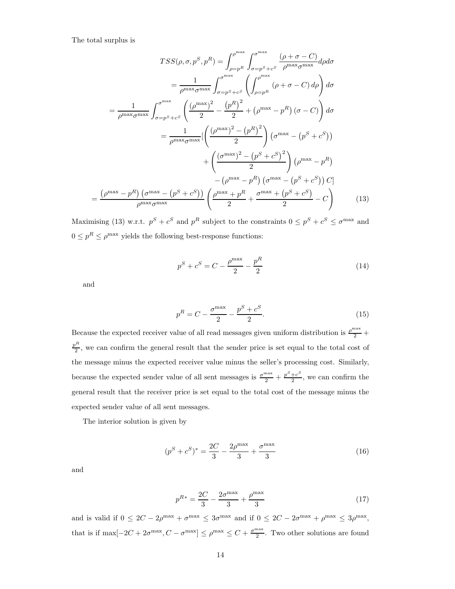The total surplus is

$$
TSS(\rho, \sigma, p^S, p^R) = \int_{\rho=p^R}^{\rho^{\max}} \int_{\sigma=p^S+c^S}^{\sigma^{\max}} \frac{(\rho + \sigma - C)}{\rho^{\max}\sigma^{\max}} d\rho d\sigma
$$

$$
= \frac{1}{\rho^{\max}\sigma^{\max}} \int_{\sigma=p^S+c^S}^{\sigma^{\max}} \left( \int_{\rho=p^R}^{\rho^{\max}} (\rho + \sigma - C) d\rho \right) d\sigma
$$

$$
= \frac{1}{\rho^{\max}\sigma^{\max}} \int_{\sigma=p^S+c^S}^{\sigma^{\max}} \left( \frac{(\rho^{\max})^2}{2} - \frac{(p^R)^2}{2} + (\rho^{\max} - p^R) (\sigma - C) \right) d\sigma
$$

$$
= \frac{1}{\rho^{\max}\sigma^{\max}} \left[ \left( \frac{(\rho^{\max})^2 - (p^R)^2}{2} \right) (\sigma^{\max} - (p^S + c^S))
$$

$$
+ \left( \frac{(\sigma^{\max})^2 - (p^S + c^S)^2}{2} \right) (\rho^{\max} - p^R)
$$

$$
- (\rho^{\max} - p^R) (\sigma^{\max} - (p^S + c^S)) C]
$$

$$
\frac{(\rho^{\max} - p^R) (\sigma^{\max} - (p^S + c^S))}{\rho^{\max}\sigma^{\max}} \left( \frac{\rho^{\max} + p^R}{2} + \frac{\sigma^{\max} + (p^S + c^S)}{2} - C \right) \tag{13}
$$

Maximising (13) w.r.t.  $p^S + c^S$  and  $p^R$  subject to the constraints  $0 \leq p^S + c^S \leq \sigma^{\max}$  and  $0 \leq p^R \leq \rho^{\text{max}}$  yields the following best-response functions:

$$
p^{S} + c^{S} = C - \frac{\rho^{\max}}{2} - \frac{p^{R}}{2}
$$
 (14)

and

=

$$
p^{R} = C - \frac{\sigma^{\max}}{2} - \frac{p^{S} + c^{S}}{2}.
$$
 (15)

Because the expected receiver value of all read messages given uniform distribution is  $\frac{\rho^{\max}}{2}$  + p R  $\frac{1}{2}$ , we can confirm the general result that the sender price is set equal to the total cost of the message minus the expected receiver value minus the seller's processing cost. Similarly, because the expected sender value of all sent messages is  $\frac{\sigma^{\max}}{2} + \frac{p^S + c^S}{2}$  $\frac{+c}{2}$ , we can confirm the general result that the receiver price is set equal to the total cost of the message minus the expected sender value of all sent messages.

The interior solution is given by

$$
(p^{S} + c^{S})^* = \frac{2C}{3} - \frac{2\rho^{\max}}{3} + \frac{\sigma^{\max}}{3}
$$
 (16)

and

$$
p^{R*} = \frac{2C}{3} - \frac{2\sigma^{\max}}{3} + \frac{\rho^{\max}}{3}
$$
 (17)

and is valid if  $0 \le 2C - 2\rho^{\max} + \sigma^{\max} \le 3\sigma^{\max}$  and if  $0 \le 2C - 2\sigma^{\max} + \rho^{\max} \le 3\rho^{\max}$ , that is if max $[-2C + 2\sigma^{\max}, C - \sigma^{\max}] \leq \rho^{\max} \leq C + \frac{\sigma^{\max}}{2}$  $\frac{\pi}{2}$ . Two other solutions are found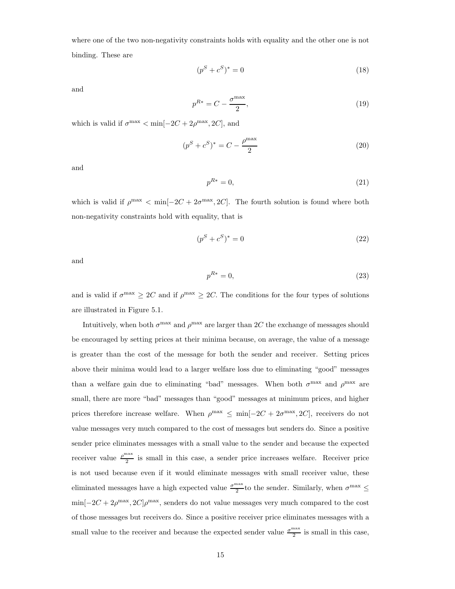where one of the two non-negativity constraints holds with equality and the other one is not binding. These are

$$
(p^S + c^S)^* = 0 \t\t(18)
$$

and

$$
p^{R*} = C - \frac{\sigma^{\max}}{2},\tag{19}
$$

which is valid if  $\sigma^{\max} < \min[-2C + 2\rho^{\max}, 2C]$ , and

$$
(p^{S} + c^{S})^* = C - \frac{\rho^{\max}}{2}
$$
 (20)

and

$$
p^{R*} = 0,\t\t(21)
$$

which is valid if  $\rho^{\max} < \min[-2C + 2\sigma^{\max}, 2C]$ . The fourth solution is found where both non-negativity constraints hold with equality, that is

$$
(p^S + c^S)^* = 0 \t\t(22)
$$

and

$$
p^{R*} = 0,\t\t(23)
$$

and is valid if  $\sigma^{\max} \geq 2C$  and if  $\rho^{\max} \geq 2C$ . The conditions for the four types of solutions are illustrated in Figure 5.1.

Intuitively, when both  $\sigma^{\max}$  and  $\rho^{\max}$  are larger than 2C the exchange of messages should be encouraged by setting prices at their minima because, on average, the value of a message is greater than the cost of the message for both the sender and receiver. Setting prices above their minima would lead to a larger welfare loss due to eliminating "good" messages than a welfare gain due to eliminating "bad" messages. When both  $\sigma^{\max}$  and  $\rho^{\max}$  are small, there are more "bad" messages than "good" messages at minimum prices, and higher prices therefore increase welfare. When  $\rho^{\max} \leq \min[-2C + 2\sigma^{\max}, 2C]$ , receivers do not value messages very much compared to the cost of messages but senders do. Since a positive sender price eliminates messages with a small value to the sender and because the expected receiver value  $\frac{\rho^{\text{max}}}{2}$ 2 is small in this case, a sender price increases welfare. Receiver price is not used because even if it would eliminate messages with small receiver value, these eliminated messages have a high expected value  $\frac{\sigma^{\max}}{2}$  $\frac{\pi}{2}$  to the sender. Similarly, when  $\sigma^{\max} \leq$  $\min[-2C+2\rho^{\text{max}},2C]\rho^{\text{max}}$ , senders do not value messages very much compared to the cost of those messages but receivers do. Since a positive receiver price eliminates messages with a small value to the receiver and because the expected sender value  $\frac{\sigma^{\max}}{2}$  $\frac{\pi}{2}$  is small in this case,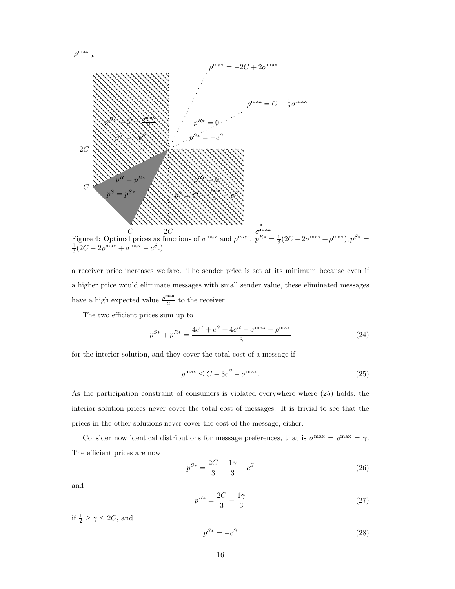

a receiver price increases welfare. The sender price is set at its minimum because even if a higher price would eliminate messages with small sender value, these eliminated messages have a high expected value  $\frac{\rho^{\text{max}}}{2}$  $\frac{1}{2}$  to the receiver.

The two efficient prices sum up to

$$
p^{S*} + p^{R*} = \frac{4c^U + c^S + 4c^R - \sigma^{\max} - \rho^{\max}}{3}
$$
 (24)

for the interior solution, and they cover the total cost of a message if

$$
\rho^{\max} \le C - 3c^S - \sigma^{\max}.\tag{25}
$$

As the participation constraint of consumers is violated everywhere where (25) holds, the interior solution prices never cover the total cost of messages. It is trivial to see that the prices in the other solutions never cover the cost of the message, either.

Consider now identical distributions for message preferences, that is  $\sigma^{\max} = \rho^{\max} = \gamma$ . The efficient prices are now

$$
p^{S*} = \frac{2C}{3} - \frac{1\gamma}{3} - c^S \tag{26}
$$

and

$$
p^{R*} = \frac{2C}{3} - \frac{1\gamma}{3} \tag{27}
$$

if  $\frac{1}{2} \ge \gamma \le 2C$ , and

$$
p^{S*} = -c^S \tag{28}
$$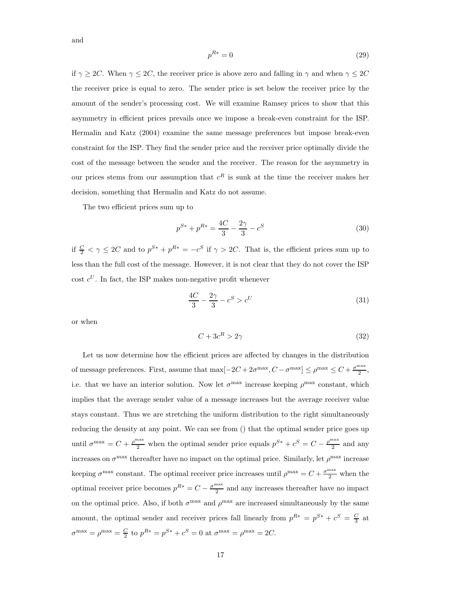$$
p^{R*} = 0\tag{29}
$$

if  $\gamma \geq 2C$ . When  $\gamma \leq 2C$ , the receiver price is above zero and falling in  $\gamma$  and when  $\gamma \leq 2C$ the receiver price is equal to zero. The sender price is set below the receiver price by the amount of the sender's processing cost. We will examine Ramsey prices to show that this asymmetry in efficient prices prevails once we impose a break-even constraint for the ISP. Hermalin and Katz (2004) examine the same message preferences but impose break-even constraint for the ISP. They find the sender price and the receiver price optimally divide the cost of the message between the sender and the receiver. The reason for the asymmetry in our prices stems from our assumption that  $c<sup>R</sup>$  is sunk at the time the receiver makes her decision, something that Hermalin and Katz do not assume.

The two efficient prices sum up to

$$
p^{S*} + p^{R*} = \frac{4C}{3} - \frac{2\gamma}{3} - c^S \tag{30}
$$

if  $\frac{C}{2} < \gamma \le 2C$  and to  $p^{S*} + p^{R*} = -c^S$  if  $\gamma > 2C$ . That is, the efficient prices sum up to less than the full cost of the message. However, it is not clear that they do not cover the ISP cost  $c^U$ . In fact, the ISP makes non-negative profit whenever

$$
\frac{4C}{3} - \frac{2\gamma}{3} - c^S > c^U \tag{31}
$$

or when

$$
C + 3c^R > 2\gamma \tag{32}
$$

Let us now determine how the efficient prices are affected by changes in the distribution of message preferences. First, assume that  $\max[-2C+2\sigma^{\max}, C-\sigma^{\max}] \leq \rho^{\max} \leq C+\frac{\sigma^{\max}}{2}$  $\frac{1}{2}$ , i.e. that we have an interior solution. Now let  $\sigma^{\max}$  increase keeping  $\rho^{\max}$  constant, which implies that the average sender value of a message increases but the average receiver value stays constant. Thus we are stretching the uniform distribution to the right simultaneously reducing the density at any point. We can see from () that the optimal sender price goes up until  $\sigma^{\max} = C + \frac{\rho^{\max}}{2}$  when the optimal sender price equals  $p^{S*} + c^S = C - \frac{\rho^{\max}}{2}$  $\frac{1}{2}$  and any increases on  $\sigma^{\max}$  thereafter have no impact on the optimal price. Similarly, let  $\rho^{\max}$  increase keeping  $\sigma^{\max}$  constant. The optimal receiver price increases until  $\rho^{\max} = C + \frac{\sigma^{\max}}{2}$  when the optimal receiver price becomes  $p^{R*} = C - \frac{\sigma^{\max}}{2}$  $\frac{1}{2}$  and any increases thereafter have no impact on the optimal price. Also, if both  $\sigma^{\max}$  and  $\rho^{\max}$  are increased simultaneously by the same amount, the optimal sender and receiver prices fall linearly from  $p^{R*} = p^{S*} + c^S = \frac{C}{3}$  at  $\sigma^{\max} = \rho^{\max} = \frac{C}{2}$  to  $p^{R*} = p^{S*} + c^S = 0$  at  $\sigma^{\max} = \rho^{\max} = 2C$ .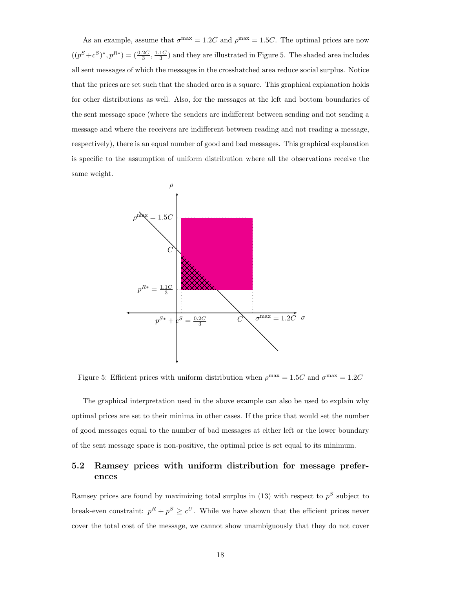As an example, assume that  $\sigma^{\text{max}} = 1.2C$  and  $\rho^{\text{max}} = 1.5C$ . The optimal prices are now  $((p<sup>S</sup>+c<sup>S</sup>)<sup>*</sup>, p<sup>R*</sup>) = (\frac{0.2C}{3}, \frac{1.1C}{3})$  and they are illustrated in Figure 5. The shaded area includes all sent messages of which the messages in the crosshatched area reduce social surplus. Notice that the prices are set such that the shaded area is a square. This graphical explanation holds for other distributions as well. Also, for the messages at the left and bottom boundaries of the sent message space (where the senders are indifferent between sending and not sending a message and where the receivers are indifferent between reading and not reading a message, respectively), there is an equal number of good and bad messages. This graphical explanation is specific to the assumption of uniform distribution where all the observations receive the same weight.



Figure 5: Efficient prices with uniform distribution when  $\rho^{\text{max}} = 1.5C$  and  $\sigma^{\text{max}} = 1.2C$ 

The graphical interpretation used in the above example can also be used to explain why optimal prices are set to their minima in other cases. If the price that would set the number of good messages equal to the number of bad messages at either left or the lower boundary of the sent message space is non-positive, the optimal price is set equal to its minimum.

# 5.2 Ramsey prices with uniform distribution for message preferences

Ramsey prices are found by maximizing total surplus in  $(13)$  with respect to  $p<sup>S</sup>$  subject to break-even constraint:  $p^R + p^S \geq c^U$ . While we have shown that the efficient prices never cover the total cost of the message, we cannot show unambiguously that they do not cover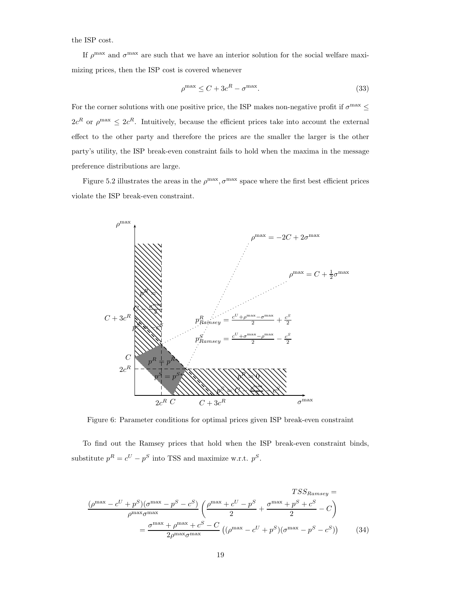the ISP cost.

If  $\rho^{\max}$  and  $\sigma^{\max}$  are such that we have an interior solution for the social welfare maximizing prices, then the ISP cost is covered whenever

$$
\rho^{\max} \le C + 3c^R - \sigma^{\max}.\tag{33}
$$

For the corner solutions with one positive price, the ISP makes non-negative profit if  $\sigma^{\max} \leq$  $2c^R$  or  $\rho^{\max} \leq 2c^R$ . Intuitively, because the efficient prices take into account the external effect to the other party and therefore the prices are the smaller the larger is the other party's utility, the ISP break-even constraint fails to hold when the maxima in the message preference distributions are large.

Figure 5.2 illustrates the areas in the  $\rho^{\max}, \sigma^{\max}$  space where the first best efficient prices violate the ISP break-even constraint.



Figure 6: Parameter conditions for optimal prices given ISP break-even constraint

To find out the Ramsey prices that hold when the ISP break-even constraint binds, substitute  $p^R = c^U - p^S$  into TSS and maximize w.r.t.  $p^S$ .

$$
TSS_{Ramsey} =
$$

$$
\frac{(\rho^{\max} - c^U + p^S)(\sigma^{\max} - p^S - c^S)}{\rho^{\max} \sigma^{\max}} \left( \frac{\rho^{\max} + c^U - p^S}{2} + \frac{\sigma^{\max} + p^S + c^S}{2} - C \right)
$$

$$
= \frac{\sigma^{\max} + \rho^{\max} + c^S - C}{2\rho^{\max} \sigma^{\max}} \left( (\rho^{\max} - c^U + p^S)(\sigma^{\max} - p^S - c^S) \right) \tag{34}
$$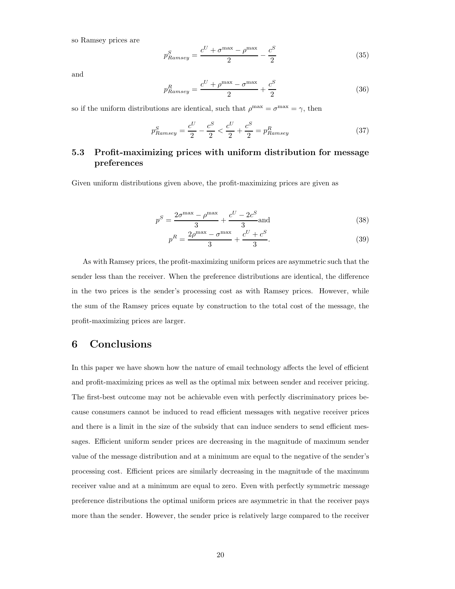so Ramsey prices are

$$
p_{Ramsey}^S = \frac{c^U + \sigma^{\max} - \rho^{\max}}{2} - \frac{c^S}{2}
$$
 (35)

and

$$
p_{Ramsey}^R = \frac{c^U + \rho^{\max} - \sigma^{\max}}{2} + \frac{c^S}{2}
$$
 (36)

so if the uniform distributions are identical, such that  $\rho^{\max} = \sigma^{\max} = \gamma$ , then

$$
p_{Ramsey}^S = \frac{c^U}{2} - \frac{c^S}{2} < \frac{c^U}{2} + \frac{c^S}{2} = p_{Ramsey}^R \tag{37}
$$

### 5.3 Profit-maximizing prices with uniform distribution for message preferences

Given uniform distributions given above, the profit-maximizing prices are given as

$$
p^S = \frac{2\sigma^{\max} - \rho^{\max}}{3} + \frac{c^U - 2c^S}{3}
$$
 and (38)

$$
p^{R} = \frac{2\rho^{\max} - \sigma^{\max}}{3} + \frac{c^{U} + c^{S}}{3}.
$$
 (39)

As with Ramsey prices, the profit-maximizing uniform prices are asymmetric such that the sender less than the receiver. When the preference distributions are identical, the difference in the two prices is the sender's processing cost as with Ramsey prices. However, while the sum of the Ramsey prices equate by construction to the total cost of the message, the profit-maximizing prices are larger.

# 6 Conclusions

In this paper we have shown how the nature of email technology affects the level of efficient and profit-maximizing prices as well as the optimal mix between sender and receiver pricing. The first-best outcome may not be achievable even with perfectly discriminatory prices because consumers cannot be induced to read efficient messages with negative receiver prices and there is a limit in the size of the subsidy that can induce senders to send efficient messages. Efficient uniform sender prices are decreasing in the magnitude of maximum sender value of the message distribution and at a minimum are equal to the negative of the sender's processing cost. Efficient prices are similarly decreasing in the magnitude of the maximum receiver value and at a minimum are equal to zero. Even with perfectly symmetric message preference distributions the optimal uniform prices are asymmetric in that the receiver pays more than the sender. However, the sender price is relatively large compared to the receiver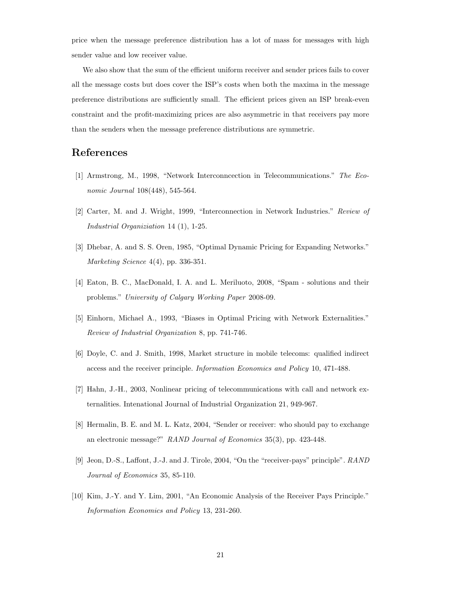price when the message preference distribution has a lot of mass for messages with high sender value and low receiver value.

We also show that the sum of the efficient uniform receiver and sender prices fails to cover all the message costs but does cover the ISP's costs when both the maxima in the message preference distributions are sufficiently small. The efficient prices given an ISP break-even constraint and the profit-maximizing prices are also asymmetric in that receivers pay more than the senders when the message preference distributions are symmetric.

# References

- [1] Armstrong, M., 1998, "Network Interconncection in Telecommunications." The Economic Journal 108(448), 545-564.
- [2] Carter, M. and J. Wright, 1999, "Interconnection in Network Industries." Review of Industrial Organiziation 14 (1), 1-25.
- [3] Dhebar, A. and S. S. Oren, 1985, "Optimal Dynamic Pricing for Expanding Networks." Marketing Science 4(4), pp. 336-351.
- [4] Eaton, B. C., MacDonald, I. A. and L. Meriluoto, 2008, "Spam solutions and their problems." University of Calgary Working Paper 2008-09.
- [5] Einhorn, Michael A., 1993, "Biases in Optimal Pricing with Network Externalities." Review of Industrial Organization 8, pp. 741-746.
- [6] Doyle, C. and J. Smith, 1998, Market structure in mobile telecoms: qualified indirect access and the receiver principle. Information Economics and Policy 10, 471-488.
- [7] Hahn, J.-H., 2003, Nonlinear pricing of telecommunications with call and network externalities. Intenational Journal of Industrial Organization 21, 949-967.
- [8] Hermalin, B. E. and M. L. Katz, 2004, "Sender or receiver: who should pay to exchange an electronic message?" RAND Journal of Economics 35(3), pp. 423-448.
- [9] Jeon, D.-S., Laffont, J.-J. and J. Tirole, 2004, "On the "receiver-pays" principle". RAND Journal of Economics 35, 85-110.
- [10] Kim, J.-Y. and Y. Lim, 2001, "An Economic Analysis of the Receiver Pays Principle." Information Economics and Policy 13, 231-260.